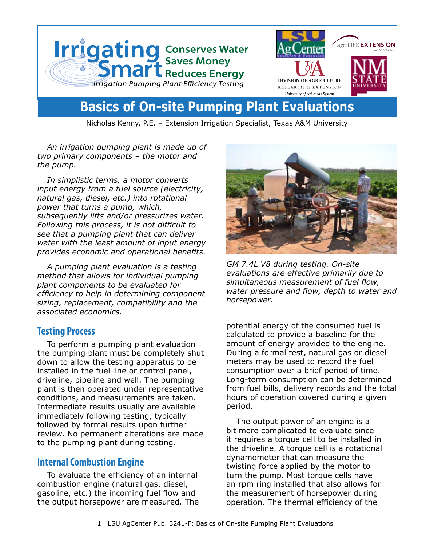

# **Basics of On-site Pumping Plant Evaluations**

Nicholas Kenny, P.E. – Extension Irrigation Specialist, Texas A&M University

*An irrigation pumping plant is made up of two primary components – the motor and the pump.* 

*In simplistic terms, a motor converts input energy from a fuel source (electricity, natural gas, diesel, etc.) into rotational power that turns a pump, which, subsequently lifts and/or pressurizes water. Following this process, it is not difficult to see that a pumping plant that can deliver water with the least amount of input energy provides economic and operational benefits.* 

*A pumping plant evaluation is a testing method that allows for individual pumping plant components to be evaluated for efficiency to help in determining component sizing, replacement, compatibility and the associated economics.* 

#### **Testing Process**

To perform a pumping plant evaluation the pumping plant must be completely shut down to allow the testing apparatus to be installed in the fuel line or control panel, driveline, pipeline and well. The pumping plant is then operated under representative conditions, and measurements are taken. Intermediate results usually are available immediately following testing, typically followed by formal results upon further review. No permanent alterations are made to the pumping plant during testing.

#### **Internal Combustion Engine**

To evaluate the efficiency of an internal combustion engine (natural gas, diesel, gasoline, etc.) the incoming fuel flow and the output horsepower are measured. The



*GM 7.4L V8 during testing. On-site evaluations are effective primarily due to simultaneous measurement of fuel flow, water pressure and flow, depth to water and horsepower.*

potential energy of the consumed fuel is calculated to provide a baseline for the amount of energy provided to the engine. During a formal test, natural gas or diesel meters may be used to record the fuel consumption over a brief period of time. Long-term consumption can be determined from fuel bills, delivery records and the total hours of operation covered during a given period.

The output power of an engine is a bit more complicated to evaluate since it requires a torque cell to be installed in the driveline. A torque cell is a rotational dynamometer that can measure the twisting force applied by the motor to turn the pump. Most torque cells have an rpm ring installed that also allows for the measurement of horsepower during operation. The thermal efficiency of the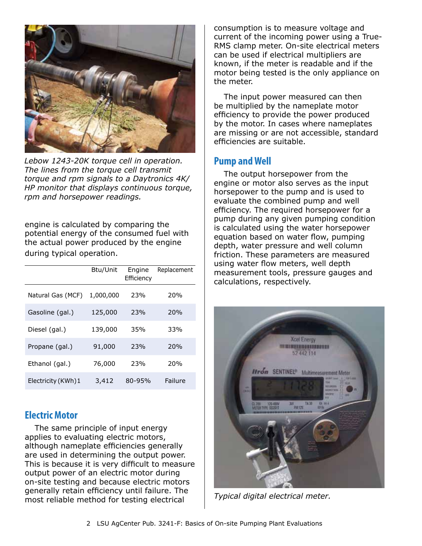

*Lebow 1243-20K torque cell in operation. The lines from the torque cell transmit torque and rpm signals to a Daytronics 4K/ HP monitor that displays continuous torque, rpm and horsepower readings.*

engine is calculated by comparing the potential energy of the consumed fuel with the actual power produced by the engine during typical operation.

|                     | Btu/Unit  | Engine<br>Efficiency | Replacement |
|---------------------|-----------|----------------------|-------------|
| Natural Gas (MCF)   | 1,000,000 | 23%                  | 20%         |
| Gasoline (gal.)     | 125,000   | 23%                  | <b>20%</b>  |
| Diesel (gal.)       | 139,000   | 35%                  | 33%         |
| Propane (gal.)      | 91,000    | 23%                  | <b>20%</b>  |
| Ethanol (gal.)      | 76,000    | 23%                  | 20%         |
| Electricity (KWh) 1 | 3,412     | 80-95%               | Failure     |

#### **Electric Motor**

The same principle of input energy applies to evaluating electric motors, although nameplate efficiencies generally are used in determining the output power. This is because it is very difficult to measure output power of an electric motor during on-site testing and because electric motors generally retain efficiency until failure. The most reliable method for testing electrical

consumption is to measure voltage and current of the incoming power using a True-RMS clamp meter. On-site electrical meters can be used if electrical multipliers are known, if the meter is readable and if the motor being tested is the only appliance on the meter.

The input power measured can then be multiplied by the nameplate motor efficiency to provide the power produced by the motor. In cases where nameplates are missing or are not accessible, standard efficiencies are suitable.

#### **Pump and Well**

The output horsepower from the engine or motor also serves as the input horsepower to the pump and is used to evaluate the combined pump and well efficiency. The required horsepower for a pump during any given pumping condition is calculated using the water horsepower equation based on water flow, pumping depth, water pressure and well column friction. These parameters are measured using water flow meters, well depth measurement tools, pressure gauges and calculations, respectively.



*Typical digital electrical meter.*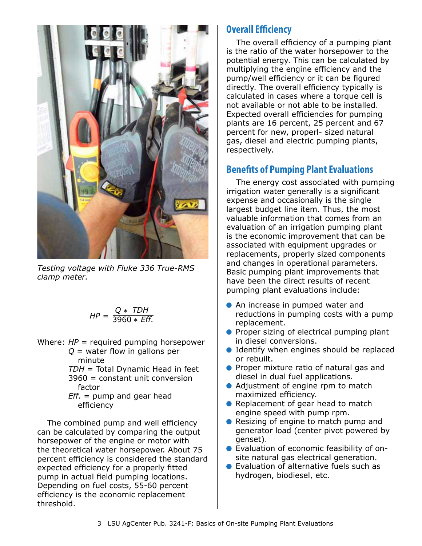

*Testing voltage with Fluke 336 True-RMS clamp meter.* 

$$
HP = \frac{Q * TDH}{3960 * Eff.}
$$

Where: *HP* = required pumping horsepower *Q* = water flow in gallons per

 minute *TDH* = Total Dynamic Head in feet 3960 = constant unit conversion factor

*Eff*. = pump and gear head efficiency

The combined pump and well efficiency can be calculated by comparing the output horsepower of the engine or motor with the theoretical water horsepower. About 75 percent efficiency is considered the standard expected efficiency for a properly fitted pump in actual field pumping locations. Depending on fuel costs, 55-60 percent efficiency is the economic replacement threshold.

### **Overall Efficiency**

The overall efficiency of a pumping plant is the ratio of the water horsepower to the potential energy. This can be calculated by multiplying the engine efficiency and the pump/well efficiency or it can be figured directly. The overall efficiency typically is calculated in cases where a torque cell is not available or not able to be installed. Expected overall efficiencies for pumping plants are 16 percent, 25 percent and 67 percent for new, properl- sized natural gas, diesel and electric pumping plants, respectively.

## **Benefits of Pumping Plant Evaluations**

The energy cost associated with pumping irrigation water generally is a significant expense and occasionally is the single largest budget line item. Thus, the most valuable information that comes from an evaluation of an irrigation pumping plant is the economic improvement that can be associated with equipment upgrades or replacements, properly sized components and changes in operational parameters. Basic pumping plant improvements that have been the direct results of recent pumping plant evaluations include:

- **An increase in pumped water and** reductions in pumping costs with a pump replacement.
- **Proper sizing of electrical pumping plant** in diesel conversions.
- **Identify when engines should be replaced** or rebuilt.
- **Proper mixture ratio of natural gas and** diesel in dual fuel applications.
- Adjustment of engine rpm to match maximized efficiency.
- Replacement of gear head to match engine speed with pump rpm.
- Resizing of engine to match pump and generator load (center pivot powered by genset).
- Evaluation of economic feasibility of onsite natural gas electrical generation.
- Evaluation of alternative fuels such as hydrogen, biodiesel, etc.